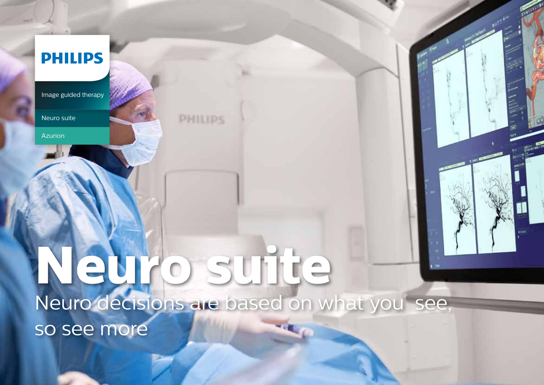## **PHILIPS**

Image guided therapy

Neuro suite

Azurion

# **Neuro suite** Neuro decisions are based on what you see, so see more

PHILIPS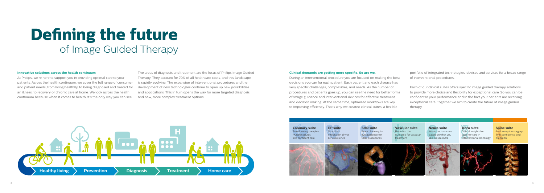# **Defining the future** of Image Guided Therapy

### **Innovative solutions across the health continuum**

At Philips, we're here to support you in providing optimal care to your patients. Across the health continuum, we cover the full range of consumer and patient needs, from living healthily, to being diagnosed and treated for an illness, to recovery or chronic care at home. We look across the health continuum because when it comes to health, it's the only way you can see.

The areas of diagnosis and treatment are the focus of Philips Image Guided Therapy. They account for 70% of all healthcare costs, and this landscape is rapidly evolving. The expansion of interventional procedures and the development of new technologies continue to open up new possibilities and applications. This in turn opens the way for more targeted diagnosis and new, more complex treatment options.

### **Clinical demands are getting more specific. So are we.**

During an interventional procedure you are focused on making the best decisions you can for each patient. Each patient and each disease has very specific challenges, complexities, and needs. As the number of procedures and patients goes up, you can see the need for better forms of image guidance and interventional devices for effective treatment and decision making. At the same time, optimized workflows are key to improving efficiency. That's why we created clinical suites; a flexible

portfolio of integrated technologies, devices and services for a broad range of interventional procedures.

Each of our clinical suites offers specific image guided therapy solutions to provide more choice and flexibility for exceptional care. So you can be confident in your performance and in the fact your patients are receiving exceptional care. Together we aim to create the future of image guided therapy.





**Coronary suite**  Transforming complex PCI procedures into confident care

**EP suite** Seamless

integration drives EP excellence **SHD suite**  From planning to live guidance for SHD procedures

**Vascular suite**  Redefine the outcome for vascular treatment

**Neuro suite**  Neuro decisions are based on what you see, so see more

**Onco suite**  Critical insights for superior care in Interventional Oncology

**Spine suite**  Perform spine surgery with confidence and precision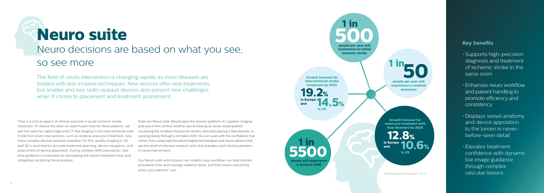# **Neuro suite** Neuro decisions are based on what you see, so see more

Time is a critical aspect of clinical outcome in acute ischemic stroke treatment. To reduce the door-to-reperfusion time for these patients, we see the need for rapid triage and CT-like imaging in the interventional suite. In elective neuro interventions, such as cerebral aneurysm treatment, new, more complex devices become available. For this, quality imaging in 2D and 3D is essential for accurate treatment planning, device navigation, and assessment of device placement. During complex AVM procedures, realtime guidance is invaluable for developing the correct treatment plan and mitigating risk during the procedure.

Enter our Neuro suite. Based upon the Azurion platform, it's superior imaging puts you in firm control whether you're treating an acute stroke patient, visualizing the smallest intracranial vessels, precisely placing a flow diverter, or working slowly through a complex AVM. You can work with the confidence that comes from using sophisticated imaging technologies and neuro options that are the result of intensive research with clinical leaders and industry pioneers in neuro interventions.



Our Neuro suite with Azurion can simplify your workflow can help shorten procedure time, and manage radiation dose, and that means everything when your patients' care.

### **Key benefits**

- Supports high-precision diagnosis and treatment of ischemic stroke in the same room
- Enhances neuro workflow and patient handling to promote efficiency and consistency
- Displays vessel anatomy and device apposition to the lumen in neverbefore-seen detail
- Elevates treatment confidence with dynamic live image guidance through complex vascular lesions

The field of neuro intervention is changing rapidly as more diseases are treated with less invasive techniques. New devices offer new treatments, but smaller and less radio opaque devices also present new challenges when it comes to placement and treatment assessment.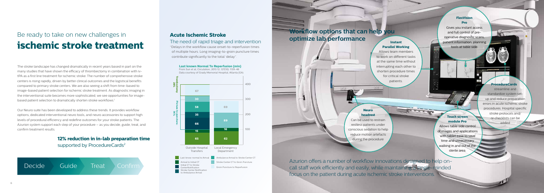The stroke landscape has changed dramatically in recent years based in part on the many studies that have shown the efficacy of thrombectomy in combination with ivtPA as a first line treatment for ischemic stroke. The number of comprehensive stroke centers is rising rapidly, driven by better clinical outcomes and the logistical benefits compared to primary stroke centers. We are also seeing a shift from time-based to image-based patient selection for ischemic stroke treatment. As diagnostic imaging in the interventional suite becomes more sophisticated, we see opportunities for imagebased patient selection to dramatically shorten stroke workflows.<sup>1</sup>

Our Neuro suite has been developed to address these trends. It provides workflow options, dedicated interventional neuro tools, and neuro accessories to support high levels of procedural efficiency and redefine outcomes for your stroke patients. The Azurion system support each step of your procedure – as you decide, guide, treat, and confirm treatment results.



## Be ready to take on new challenges in **ischemic stroke treatment**



**12% reduction in in-lab preparation time** supported by ProcedureCards<sup>2</sup>

### **Acute Ischemic Stroke**

### The need of rapid triage and intervention

"Delays in the workflow cause onset-to-reperfusion times of multiple hours. Long imaging-to-groin puncture times contribute significantly to the total 'delay".

> Azurion offers a number of workflow innovations designed to help oncall staff work efficiently and easily, while maintaining a single-minded focus on the patient during acute ischemic stroke interventions.

## **Workflow options that can help you optimize lab performance**

### **Neuro headrest**

Can be used to restrain restless patients under conscious sedation to help reduce motion artefacts during the procedure

### **Instant Parallel Working**

Allows team members to work on different tasks at the same time without interrupting each other to shorten procedure times for critical stroke patients.

### **FlexVision Pro**

Gives you instant access and full control of preoperative diagnostic scans, patient information, planning tools at table side.

### **ProcedureCards**

streamline and standardize system setup and reduce preparation errors in acute ischemic stroke procedures. Hospital specific stroke protocols and/ or checklists can be added

### **Touch screen module Pro**

Allows table side control of images and applications with tablet ease to save time and unnecessary walking in and out of the sterile area.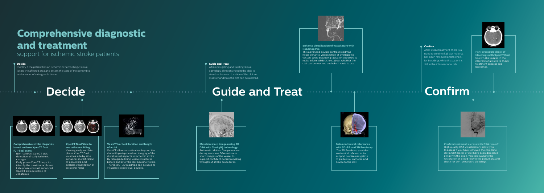# **Comprehensive diagnostic and treatment**

### support for ischemic stroke patients

### $\bullet$  Decide

. . . . . . . . . . . . .

### **Comprehensive stroke diagnosis based on three XperCT Dual (CT-like) scans**

- $\stackrel{\cdot}{\cdot}$  Non-contrast XperCT aids  $\stackrel{\cdot}{\cdot}$ detection of early ischemic changes
- Early phase XperCT helps to identify the proximal occlusion
- Late phase contrast enhanced XperCT aids detection of collaterals



### **VasoCT to check location and length of a clot**

VasoCT allows visualization beyond the clot with peri-procedural imaging of the distal vessel aspects in ischemic stroke. By retrograde filling, vessel structures before and after the clot become visible. The VasoCT 3D roadmap can be used to visualize clot retrieval devices.

**Maintain sharp images using 2D DSA with ClarityIQ technology**  Automatic Motion Compensation during real-time DSA maintains sharp images of the vessel to support confident decision making throughout stroke procedures.



**Gain anatomical references with 3D-RA and 3D Roadmap** The 3D Roadmap provides anatomical references to support precise navigation of guidewire, catheter, and device to the clot.



**Confirm treatment success with DSA run-off** High quality DSA visualizations allow you to assess if you have retrieved the complete clot and if pieces of clot have been dispersed distally in the brain. You can evaluate the restoration of blood flow to the penumbra and check for peri-procedure bleedings.

#### **Enhance visualization of vasculature with Roadmap Pro**

This advanced double contrast roadmap helps enhance visualization of overlapping vessels while balancing radiation exposure to make informed decisions about whether the clot can be reached and which route to use.

**Peri-procedure check of bleedings with XperCT Dual** Use CT-like images in the nterventional suite to check treatment success and bleedings.



Identify if the patient has an ischemic or hemorrhagic stroke, locate the affected area and assess the state of the penumbra and amount of salvageable tissue.



### **Guide and Treat**

When navigating and treating stroke pathology, clinicians need to be able to visualize the exact location of the clot and assess if and how the clot can be reached.

# Decide **Entry and Treat <b>Confirm** Confirm



### **Confirm**

After stroke treatment, there is a need to confirm if all clot material has been removed and to check for bleedings while the patient is still in the interventional lab.



#### **XperCT Dual View to see collateral filling** Viewing early and late phase XperCT Dual volumes side by side enhances identification of penumbra and enables visualization of collateral filling

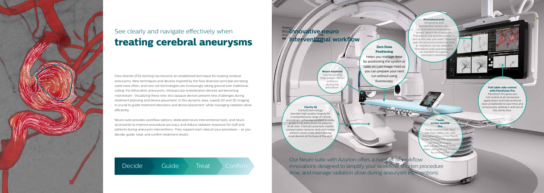

Flow diverter (FD) stenting has become an established technique for treating cerebral aneurysms. New techniques and devices inspired by the flow diversion principle are being used more often, and new coil technologies are increasingly taking ground over traditional coiling. For bifurcation aneurysms, intrasaccular embolization devices are becoming mainstream. Visualizing these new, less opaque devices present new challenges during treatment planning and device placement. In this dynamic area, superb 2D and 3D imaging is crucial to guide treatment decisions and device placement, while managing radiation dose efficiently.

## **Innovative neuro interventional workflow**

Neuro suite provides workflow options, dedicated neuro interventional tools, and neuro accessories to improve procedural accuracy and reduce radiation exposure for staff and patients during aneurysm interventions. They support each step of your procedure – as you decide, guide, treat, and confirm treatment results.

Decide Guide Treat Confirm

## See clearly and navigate effectively when **treating cerebral aneurysms**

Our Neuro suite with Azurion offers a number of workflow innovations designed to simplify your workflow, shorten procedure time, and manage radiation dose during aneurysm interventions:

### **Clarity IQ**

ClarityIQ technology provides high quality imaging for a comprehensive range of clinical procedures, achieving excellent visibility at low X-ray dose levels for patients of all sizes. ClarityIQ automatic motion compensation removes skull and motion artifacts which is key when placing small devices at the base of the skull.

**ProcedureCards** Streamline and

standardize system setup and reduce preparation errors. Select the Aneurysm ProcedureCard and the system is set-up the way you want. Hospital specific aneurysm protocols and/ or checklists can be added to ProcedureCards and displayed on monitors to support consistent workflow.



FlexVision Pro gives you full control of all connected applications and interventional tools at tableside to save time and unnecessary walking in and out of the sterile area.



### **Touch screen module Pro**

Easily review large data sets from table side with the tablet ease of the Touch een Module Pro. Collimate on clinical images with a fingertip and pinch, zoom, pan and flag images for processing.

**Zero Dose Positioning**  Helps you manage dose by positioning the system or table on Last Image Hold so you can prepare your next run without using fluoroscopy.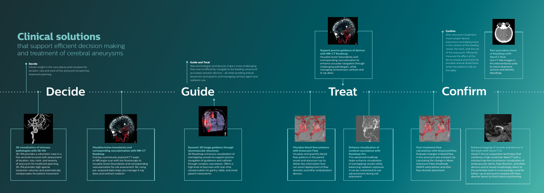# **Clinical solutions**

that support efficient decision making and treatment of cerebral aneurysms

### **3D visualization of tortuous pathologies with 3D-RA**

3D-RA provides a volumetric view in a few seconds to assist with assessment of location, size, neck, and severity of aneurysm for treatment planning. 3D-RA provides high spacial resolution volumes and automatically compensates for patient movement.



**Visualize lesion boundaries and corresponding vascularization with MR-CT Roadmap**

**Post-treatment flow calculations with AneurysmFlow** Evaluate changes in blood flow in the aneurysm pre and post, by calculating the change in Mean Aneurysm Flow Amplitude (MAFA ratio) before and after flow diverter placement



Overlay a previously acquired CT angio or MR angio scan with live fluoroscopy to visualize lesion boundaries and corresponding vascularization for risk assessment. Re-using pre-acquired data helps you manage X-ray dose and contrast medium.

**Visualize blood flow patterns with Aneurysm Flow** Visualize and quantify blood flow patterns in the parent vessel and aneurysm sac to obtain key information that can assist deployment of flow diverters and other embolization devices.



**Enhance visualization of cerebral vasculature with Roadmap Pro** This advanced roadmap helps enhance visualization of overlapping vessels while balancing radiation exposure. It can be customized to see advancement during coil placement.



**Enhance imaging of vessels and devices in the brain with VasoCT IA** 

VasoCT IA is an acquisition technique that combines a high resolution XperCT with a contrast injection to enhance visualization of endovascular stents, flow diverters, and other devices and of vessel morphology down to the perforator level. It is increasingly used for follow-up of aneurysms treated with flowdiverter stents to check device positioning.

**Support precise guidance of devices with MR-CT Roadmap** Visualize lesion boundaries and corresponding vascularization to enhance accurate navigation through challenging pathologies, while managing unnecessary contrast and X-ray dose.

**Peri-procedure check of bleedings with XperCT Dual**  Use CT-like images in the interventional suite to check treatment success and identify bleedings.

. **. . . . . . . . . . . . . .** 



**Dynamic 3D image guidance through neurovascular structures** 3D Roadmap enhances visualization of overlapping vessels to support precise navigation of guidewire and catheter through complex vasculature. Offers a high level of precision with real-time compensation for gantry, table, and small patient movements.



### **Decide**

. . . . . . . . . . . . . . .

Obtain insight in the vasculature and visualize the location, size and neck of the aneurysm to optimize treatment planning.



#### **Guide and Treat**

New technologies and devices make it more challenging than ever to efficiently navigate to the feeding vessel and accurately position devices - all while avoiding arterial dissection and spasms and managing contrast agent and radiation use.



### **Confirm**

After aneursym treatment, check proper device placement and deployment in the context of the feeding vessel, the neck, and the sac of the aneurysm. Efficiently measure the effect of the device placed and check for possible arterial dissections while the patient is still on the table

# Decide **Ensiminate Cuide Constant Cuide Confirm**

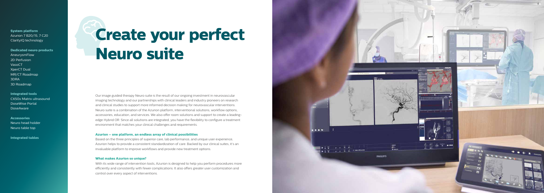

# **Create your perfect Neuro suite**

**System platform** Azurion 7 B20/15, 7 C20 ClarityIQ technology

**Integrated tools** CX50x Matrix ultrasound DoseWise Portal **DoseAware** 

**Dedicated neuro products** AneurysmFlow 2D Perfusion **VasoCT** XperCT Dual MR/CT Roadmap 3DRA 3D Roadmap

**Accessories** Neuro head holder Neuro table top

**Integrated tables**

Our image guided therapy Neuro suite is the result of our ongoing investment in neurovascular imaging technology and our partnerships with clinical leaders and industry pioneers on research and clinical studies to support more informed decision making for neurovascular interventions. Neuro suite is a combination of the Azurion platform, interventional solutions, workflow options, accessories, education, and services. We also offer room solutions and support to create a leadingedge Hybrid OR. Since all solutions are integrated, you have the flexibility to configure a treatment environment that matches your clinical challenges and requirements.

### **Azurion – one platform, an endless array of clinical possibilities**

Based on the three principles of superior care, lab performance, and unique user experience, Azurion helps to provide a consistent standardization of care. Backed by our clinical suites, it's an invaluable platform to improve workflows and provide new treatment options.

### **What makes Azurion so unique?**

With its wide range of intervention tools, Azurion is designed to help you perform procedures more efficiently and consistently with fewer complications. It also offers greater user customization and control over every aspect of interventions.